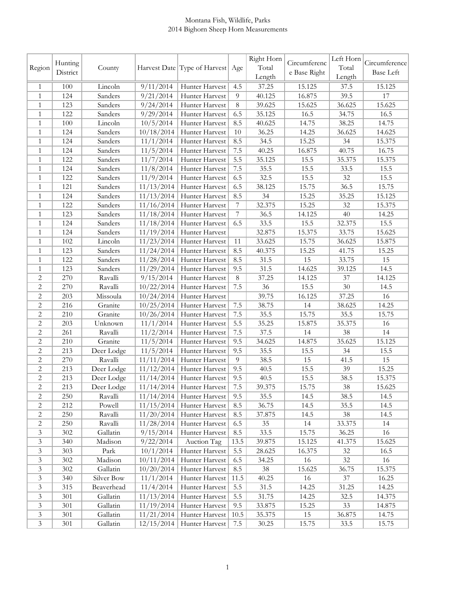## Montana Fish, Wildlife, Parks 2014 Bighorn Sheep Horn Measurements

|                |          |            |            |                                  |                | Right Horn |              | Left Horn |                  |
|----------------|----------|------------|------------|----------------------------------|----------------|------------|--------------|-----------|------------------|
| Region         | Hunting  | County     |            | Harvest Date Type of Harvest Age |                | Total      | Circumferenc | Total     | Circumference    |
|                | District |            |            |                                  |                | Length     | e Base Right | Length    | <b>Base Left</b> |
| 1              | 100      | Lincoln    | 9/11/2014  | Hunter Harvest                   | 4.5            | 37.25      | 15.125       | 37.5      | 15.125           |
| 1              | 124      | Sanders    | 9/21/2014  | Hunter Harvest                   | 9              | 40.125     | 16.875       | 39.5      | 17               |
| $\mathbf{1}$   | 123      | Sanders    | 9/24/2014  | Hunter Harvest                   | 8              | 39.625     | 15.625       | 36.625    | 15.625           |
| 1              | 122      | Sanders    | 9/29/2014  | Hunter Harvest                   | 6.5            | 35.125     | 16.5         | 34.75     | 16.5             |
| 1              | 100      | Lincoln    | 10/5/2014  | Hunter Harvest                   | 8.5            | 40.625     | 14.75        | 38.25     | 14.75            |
| $\mathbf{1}$   | 124      | Sanders    | 10/18/2014 | Hunter Harvest                   | 10             | 36.25      | 14.25        | 36.625    | 14.625           |
| $\mathbf{1}$   | 124      | Sanders    | 11/1/2014  | Hunter Harvest                   | 8.5            | 34.5       | 15.25        | 34        | 15.375           |
| 1              | 124      | Sanders    | 11/5/2014  | Hunter Harvest                   | 7.5            | 40.25      | 16.875       | 40.75     | 16.75            |
| 1              | 122      | Sanders    | 11/7/2014  | Hunter Harvest                   | 5.5            | 35.125     | 15.5         | 35.375    | 15.375           |
| 1              | 124      | Sanders    | 11/8/2014  | Hunter Harvest                   | 7.5            | 35.5       | 15.5         | 33.5      | 15.5             |
| 1              | 122      | Sanders    | 11/9/2014  | Hunter Harvest                   | 6.5            | 32.5       | 15.5         | $32\,$    | 15.5             |
| 1              | 121      | Sanders    | 11/13/2014 | Hunter Harvest                   | 6.5            | 38.125     | 15.75        | 36.5      | 15.75            |
| $\mathbf{1}$   | 124      | Sanders    | 11/13/2014 | Hunter Harvest                   | 8.5            | 34         | 15.25        | 35.25     | 15.125           |
| 1              | 122      | Sanders    | 11/16/2014 | Hunter Harvest                   | 7              | 32.375     | 15.25        | 32        | 15.375           |
| $\mathbf{1}$   | 123      | Sanders    | 11/18/2014 | Hunter Harvest                   | $\overline{7}$ | 36.5       | 14.125       | 40        | 14.25            |
| 1              | 124      | Sanders    | 11/18/2014 | Hunter Harvest                   | 6.5            | 33.5       | 15.5         | 32.375    | 15.5             |
| 1              | 124      | Sanders    | 11/19/2014 | Hunter Harvest                   |                | 32.875     | 15.375       | 33.75     | 15.625           |
| 1              | 102      | Lincoln    | 11/23/2014 | Hunter Harvest                   | 11             | 33.625     | 15.75        | 36.625    | 15.875           |
| 1              | 123      | Sanders    | 11/24/2014 | Hunter Harvest                   | 8.5            | 40.375     | 15.25        | 41.75     | 15.25            |
| 1              | 122      | Sanders    | 11/28/2014 | Hunter Harvest                   | 8.5            | 31.5       | 15           | 33.75     | 15               |
| 1              | 123      | Sanders    | 11/29/2014 | Hunter Harvest                   | 9.5            | 31.5       | 14.625       | 39.125    | 14.5             |
| 2              | 270      | Ravalli    | 9/15/2014  | Hunter Harvest                   | 8              | 37.25      | 14.125       | 37        | 14.125           |
| 2              | 270      | Ravalli    | 10/22/2014 | Hunter Harvest                   | 7.5            | 36         | 15.5         | 30        | 14.5             |
| $\mathbf{2}$   | 203      | Missoula   | 10/24/2014 | Hunter Harvest                   |                | 39.75      | 16.125       | 37.25     | 16               |
| $\mathbf{2}$   | 216      | Granite    | 10/25/2014 | Hunter Harvest                   | 7.5            | 38.75      | 14           | 38.625    | 14.25            |
| 2              | 210      | Granite    | 10/26/2014 | Hunter Harvest                   | 7.5            | 35.5       | 15.75        | 35.5      | 15.75            |
| 2              | 203      | Unknown    | 11/1/2014  | Hunter Harvest                   | 5.5            | 35.25      | 15.875       | 35.375    | 16               |
| 2              | 261      | Ravalli    | 11/2/2014  | Hunter Harvest                   | 7.5            | 37.5       | 14           | 38        | 14               |
| 2              | 210      | Granite    | 11/5/2014  | Hunter Harvest                   | 9.5            | 34.625     | 14.875       | 35.625    | 15.125           |
| $\overline{2}$ | 213      | Deer Lodge | 11/5/2014  | Hunter Harvest                   | 9.5            | 35.5       | 15.5         | 34        | 15.5             |
| $\overline{2}$ | 270      | Ravalli    | 11/11/2014 | Hunter Harvest                   | $\overline{9}$ | 38.5       | 15           | 41.5      | 15               |
| 2              | 213      | Deer Lodge | 11/12/2014 | Hunter Harvest                   | 9.5            | 40.5       | 15.5         | 39        | 15.25            |
| $\overline{c}$ | 213      | Deer Lodge | 11/14/2014 | Hunter Harvest                   | 9.5            | 40.5       | 15.5         | 38.5      | 15.375           |
| $\overline{c}$ | 213      | Deer Lodge |            | 11/14/2014 Hunter Harvest        | 7.5            | 39.375     | 15.75        | $38\,$    | 15.625           |
| 2              | 250      | Ravalli    | 11/14/2014 | Hunter Harvest                   | 9.5            | 35.5       | 14.5         | 38.5      | 14.5             |
| $\sqrt{2}$     | 212      | Powell     | 11/15/2014 | Hunter Harvest                   | 8.5            | 36.75      | 14.5         | 35.5      | 14.5             |
| $\sqrt{2}$     | 250      | Ravalli    | 11/20/2014 | Hunter Harvest                   | 8.5            | 37.875     | 14.5         | 38        | 14.5             |
| 2              | 250      | Ravalli    | 11/28/2014 | Hunter Harvest                   | 6.5            | 35         | 14           | 33.375    | 14               |
| $\mathfrak{Z}$ | 302      | Gallatin   | 9/15/2014  | Hunter Harvest                   | 8.5            | 33.5       | 15.75        | 36.25     | 16               |
| $\mathfrak{Z}$ | 340      | Madison    | 9/22/2014  | Auction Tag                      | 13.5           | 39.875     | 15.125       | 41.375    | 15.625           |
| 3              | 303      | Park       | 10/1/2014  | Hunter Harvest                   | 5.5            | 28.625     | 16.375       | 32        | 16.5             |
| $\mathfrak{Z}$ | 302      | Madison    | 10/11/2014 | Hunter Harvest                   | 6.5            | 34.25      | 16           | 32        | 16               |
| 3              | 302      | Gallatin   | 10/20/2014 | Hunter Harvest                   | 8.5            | 38         | 15.625       | 36.75     | 15.375           |
| $\mathfrak{Z}$ | 340      | Silver Bow | 11/1/2014  | Hunter Harvest                   | 11.5           | 40.25      | 16           | 37        | 16.25            |
| $\mathfrak{Z}$ | 315      | Beaverhead | 11/4/2014  | Hunter Harvest                   | 5.5            | 31.5       | 14.25        | 31.25     | 14.25            |
| $\mathfrak{Z}$ | 301      | Gallatin   | 11/13/2014 | Hunter Harvest                   | 5.5            | 31.75      | 14.25        | 32.5      | 14.375           |
| $\mathfrak{Z}$ | 301      | Gallatin   | 11/19/2014 | Hunter Harvest                   | 9.5            | 33.875     | 15.25        | 33        | 14.875           |
| $\mathfrak{Z}$ | 301      | Gallatin   | 11/21/2014 | Hunter Harvest                   | 10.5           | 35.375     | 15           | 36.875    | 14.75            |
| $\mathfrak{Z}$ | 301      | Gallatin   | 12/15/2014 | Hunter Harvest                   | 7.5            | 30.25      | 15.75        | 33.5      | 15.75            |
|                |          |            |            |                                  |                |            |              |           |                  |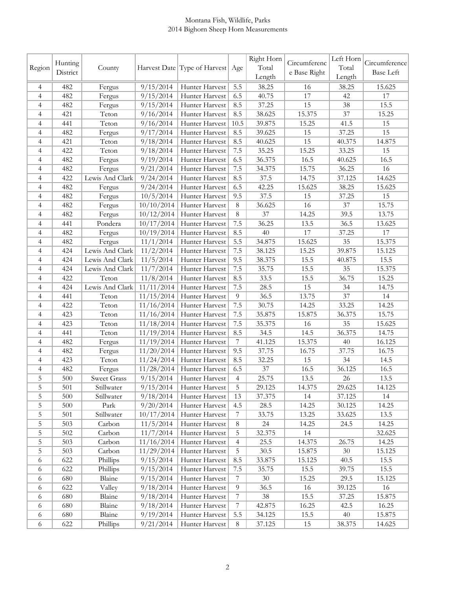## Montana Fish, Wildlife, Parks 2014 Bighorn Sheep Horn Measurements

|                | Hunting  |                    |            |                                  |                  | Right Horn | Circumferenc | Left Horn | Circumference    |
|----------------|----------|--------------------|------------|----------------------------------|------------------|------------|--------------|-----------|------------------|
| Region         | District | County             |            | Harvest Date Type of Harvest Age |                  | Total      | e Base Right | Total     | <b>Base Left</b> |
|                |          |                    |            |                                  |                  | Length     |              | Length    |                  |
| 4              | 482      | Fergus             | 9/15/2014  | Hunter Harvest                   | 5.5              | 38.25      | 16           | 38.25     | 15.625           |
| $\overline{4}$ | 482      | Fergus             | 9/15/2014  | Hunter Harvest                   | 6.5              | 40.75      | 17           | 42        | 17               |
| $\overline{4}$ | 482      | Fergus             | 9/15/2014  | Hunter Harvest                   | 8.5              | 37.25      | 15           | 38        | 15.5             |
| 4              | 421      | Teton              | 9/16/2014  | Hunter Harvest                   | 8.5              | 38.625     | 15.375       | 37        | 15.25            |
| $\overline{4}$ | 441      | Teton              | 9/16/2014  | Hunter Harvest                   | 10.5             | 39.875     | 15.25        | 41.5      | 15               |
| $\overline{4}$ | 482      | Fergus             | 9/17/2014  | Hunter Harvest                   | 8.5              | 39.625     | 15           | 37.25     | 15               |
| 4              | 421      | Teton              | 9/18/2014  | Hunter Harvest                   | 8.5              | 40.625     | 15           | 40.375    | 14.875           |
| 4              | 422      | Teton              | 9/18/2014  | Hunter Harvest                   | 7.5              | 35.25      | 15.25        | 33.25     | 15               |
| 4              | 482      | Fergus             | 9/19/2014  | Hunter Harvest                   | 6.5              | 36.375     | 16.5         | 40.625    | 16.5             |
| 4              | 482      | Fergus             | 9/21/2014  | Hunter Harvest                   | 7.5              | 34.375     | 15.75        | 36.25     | 16               |
| 4              | 422      | Lewis And Clark    | 9/24/2014  | Hunter Harvest                   | 8.5              | 37.5       | 14.75        | 37.125    | 14.625           |
| 4              | 482      | Fergus             | 9/24/2014  | Hunter Harvest                   | 6.5              | 42.25      | 15.625       | 38.25     | 15.625           |
| 4              | 482      | Fergus             | 10/5/2014  | Hunter Harvest                   | 9.5              | 37.5       | 15           | 37.25     | 15               |
| 4              | 482      | Fergus             | 10/10/2014 | Hunter Harvest                   | 8                | 36.625     | 16           | 37        | 15.75            |
| 4              | 482      | Fergus             | 10/12/2014 | Hunter Harvest                   | 8                | 37         | 14.25        | 39.5      | 13.75            |
| 4              | 441      | Pondera            | 10/17/2014 | Hunter Harvest                   | 7.5              | 36.25      | 13.5         | 36.5      | 13.625           |
| $\overline{4}$ | 482      | Fergus             | 10/19/2014 | Hunter Harvest                   | 8.5              | 40         | 17           | 37.25     | 17               |
| $\overline{4}$ | 482      | Fergus             | 11/1/2014  | Hunter Harvest                   | 5.5              | 34.875     | 15.625       | 35        | 15.375           |
| 4              | 424      | Lewis And Clark    | 11/2/2014  | Hunter Harvest                   | 7.5              | 38.125     | 15.25        | 39.875    | 15.125           |
| 4              | 424      | Lewis And Clark    | 11/5/2014  | Hunter Harvest                   | 9.5              | 38.375     | 15.5         | 40.875    | 15.5             |
| 4              | 424      | Lewis And Clark    | 11/7/2014  | Hunter Harvest                   | 7.5              | 35.75      | 15.5         | 35        | 15.375           |
| 4              | 422      | Teton              | 11/8/2014  | Hunter Harvest                   | 8.5              | 33.5       | 15.5         | 36.75     | 15.25            |
| $\overline{4}$ | 424      | Lewis And Clark    | 11/11/2014 | Hunter Harvest                   | 7.5              | 28.5       | 15           | 34        | 14.75            |
| 4              | 441      | Teton              | 11/15/2014 | Hunter Harvest                   | $\overline{9}$   | 36.5       | 13.75        | 37        | 14               |
| 4              | 422      | Teton              | 11/16/2014 | Hunter Harvest                   | 7.5              | 30.75      | 14.25        | 33.25     | 14.25            |
| 4              | 423      | Teton              | 11/16/2014 | Hunter Harvest                   | 7.5              | 35.875     | 15.875       | 36.375    | 15.75            |
| $\overline{4}$ | 423      | Teton              | 11/18/2014 | Hunter Harvest                   | 7.5              | 35.375     | 16           | 35        | 15.625           |
| $\overline{4}$ | 441      | Teton              | 11/19/2014 | Hunter Harvest                   | 8.5              | 34.5       | 14.5         | 36.375    | 14.75            |
| $\overline{4}$ | 482      | Fergus             | 11/19/2014 | Hunter Harvest                   | $\overline{7}$   | 41.125     | 15.375       | 40        | 16.125           |
| $\overline{4}$ | 482      | Fergus             | 11/20/2014 | Hunter Harvest                   | 9.5              | 37.75      | 16.75        | 37.75     | 16.75            |
| $\overline{4}$ | 423      | Teton              | 11/24/2014 | Hunter Harvest                   | 8.5              | 32.25      | 15           | 34        | 14.5             |
| $\overline{4}$ | 482      | Fergus             | 11/28/2014 | Hunter Harvest                   | 6.5              | $37\,$     | 16.5         | 36.125    | 16.5             |
| 5              | 500      | <b>Sweet Grass</b> | 9/15/2014  | Hunter Harvest                   | $\overline{4}$   | 25.75      | 13.5         | 26        | 13.5             |
| C              | 501      | Stillwater         | 9/15/2014  | Hunter Harvest                   | $\mathcal{L}$    | 29.125     | 14.375       | 29.625    | 14.125           |
| 5              | 500      | Stillwater         | 9/18/2014  | Hunter Harvest                   | 13               | 37.375     | 14           | 37.125    | 14               |
| 5              | 500      | Park               | 9/20/2014  | Hunter Harvest                   | 4.5              | 28.5       | 14.25        | 30.125    | 14.25            |
| 5              | 501      | Stillwater         | 10/17/2014 | Hunter Harvest                   | $\tau$           | 33.75      | 13.25        | 33.625    | 13.5             |
| 5              | 503      | Carbon             | 11/5/2014  | Hunter Harvest                   | $8\,$            | 24         | 14.25        | 24.5      | 14.25            |
| 5              | 502      | Carbon             | 11/7/2014  | Hunter Harvest                   | 5                | 32.375     | 14           |           | 32.625           |
| 5              | 503      | Carbon             | 11/16/2014 | Hunter Harvest                   | $\overline{4}$   | 25.5       | 14.375       | 26.75     | 14.25            |
| 5              | 503      | Carbon             | 11/29/2014 | Hunter Harvest                   | 5                | 30.5       | 15.875       | 30        | 15.125           |
| 6              | 622      | Phillips           | 9/15/2014  | Hunter Harvest                   | 8.5              | 33.875     | 15.125       | 40.5      | 15.5             |
| 6              | 622      | Phillips           | 9/15/2014  | Hunter Harvest                   | 7.5              | 35.75      | 15.5         | 39.75     | 15.5             |
| 6              | 680      | Blaine             | 9/15/2014  | Hunter Harvest                   | $\overline{7}$   | 30         | 15.25        | 29.5      | 15.125           |
| 6              | 622      | Valley             | 9/18/2014  | Hunter Harvest                   | 9                | 36.5       | 16           | 39.125    | 16               |
| 6              | 680      | Blaine             | 9/18/2014  | Hunter Harvest                   | 7                | 38         | 15.5         | 37.25     | 15.875           |
| $\sqrt{6}$     | 680      | Blaine             | 9/18/2014  | Hunter Harvest                   | $\boldsymbol{7}$ | 42.875     | 16.25        | 42.5      | 16.25            |
| 6              | 680      | Blaine             | 9/19/2014  | Hunter Harvest                   | 5.5              | 34.125     | 15.5         | 40        | 15.875           |
| 6              | 622      | Phillips           | 9/21/2014  | Hunter Harvest                   | 8                | 37.125     | 15           | 38.375    | 14.625           |